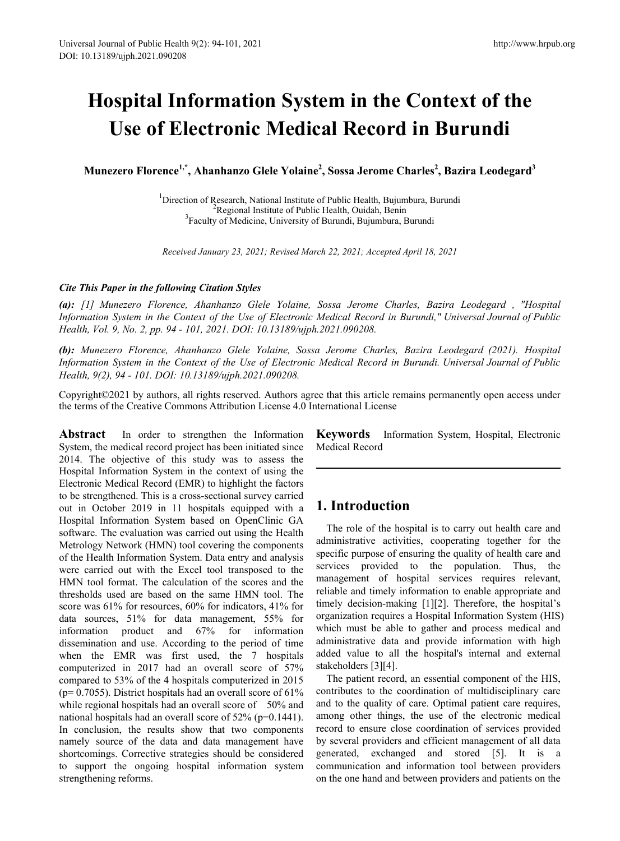# **Hospital Information System in the Context of the Use of Electronic Medical Record in Burundi**

**Munezero Florence1,\*, Ahanhanzo Glele Yolaine2 , Sossa Jerome Charles2 , Bazira Leodegard<sup>3</sup>**

<sup>1</sup>Direction of Research, National Institute of Public Health, Bujumbura, Burundi<br><sup>2</sup>Pegional Institute of Public Health, Quidab, Banin Regional Institute of Public Health, Ouidah, Benin <sup>3</sup> Faculty of Medicine, University of Burundi, Bujumbura, Burundi

*Received January 23, 2021; Revised March 22, 2021; Accepted April 18, 2021*

## *Cite This Paper in the following Citation Styles*

*(a): [1] Munezero Florence, Ahanhanzo Glele Yolaine, Sossa Jerome Charles, Bazira Leodegard , "Hospital Information System in the Context of the Use of Electronic Medical Record in Burundi," Universal Journal of Public Health, Vol. 9, No. 2, pp. 94 - 101, 2021. DOI: 10.13189/ujph.2021.090208.* 

*(b): Munezero Florence, Ahanhanzo Glele Yolaine, Sossa Jerome Charles, Bazira Leodegard (2021). Hospital Information System in the Context of the Use of Electronic Medical Record in Burundi. Universal Journal of Public Health, 9(2), 94 - 101. DOI: 10.13189/ujph.2021.090208.* 

Copyright©2021 by authors, all rights reserved. Authors agree that this article remains permanently open access under the terms of the Creative Commons Attribution License 4.0 International License

Abstract In order to strengthen the Information System, the medical record project has been initiated since 2014. The objective of this study was to assess the Hospital Information System in the context of using the Electronic Medical Record (EMR) to highlight the factors to be strengthened. This is a cross-sectional survey carried out in October 2019 in 11 hospitals equipped with a Hospital Information System based on OpenClinic GA software. The evaluation was carried out using the Health Metrology Network (HMN) tool covering the components of the Health Information System. Data entry and analysis were carried out with the Excel tool transposed to the HMN tool format. The calculation of the scores and the thresholds used are based on the same HMN tool. The score was 61% for resources, 60% for indicators, 41% for data sources, 51% for data management, 55% for information product and 67% for information dissemination and use. According to the period of time when the EMR was first used, the 7 hospitals computerized in 2017 had an overall score of 57% compared to 53% of the 4 hospitals computerized in 2015 ( $p= 0.7055$ ). District hospitals had an overall score of 61% while regional hospitals had an overall score of 50% and national hospitals had an overall score of 52% (p=0.1441). In conclusion, the results show that two components namely source of the data and data management have shortcomings. Corrective strategies should be considered to support the ongoing hospital information system strengthening reforms.

**Keywords** Information System, Hospital, Electronic Medical Record

# **1. Introduction**

The role of the hospital is to carry out health care and administrative activities, cooperating together for the specific purpose of ensuring the quality of health care and services provided to the population. Thus, the management of hospital services requires relevant, reliable and timely information to enable appropriate and timely decision-making [1][2]. Therefore, the hospital's organization requires a Hospital Information System (HIS) which must be able to gather and process medical and administrative data and provide information with high added value to all the hospital's internal and external stakeholders [3][4].

The patient record, an essential component of the HIS, contributes to the coordination of multidisciplinary care and to the quality of care. Optimal patient care requires, among other things, the use of the electronic medical record to ensure close coordination of services provided by several providers and efficient management of all data generated, exchanged and stored [5]. It is a communication and information tool between providers on the one hand and between providers and patients on the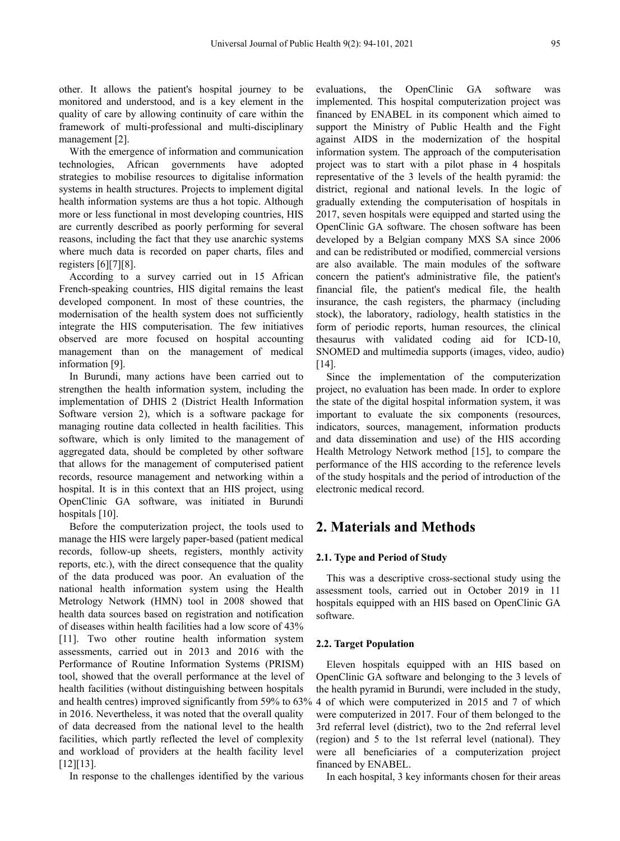other. It allows the patient's hospital journey to be monitored and understood, and is a key element in the quality of care by allowing continuity of care within the framework of multi-professional and multi-disciplinary management [2].

With the emergence of information and communication technologies, African governments have adopted strategies to mobilise resources to digitalise information systems in health structures. Projects to implement digital health information systems are thus a hot topic. Although more or less functional in most developing countries, HIS are currently described as poorly performing for several reasons, including the fact that they use anarchic systems where much data is recorded on paper charts, files and registers [6][7][8].

According to a survey carried out in 15 African French-speaking countries, HIS digital remains the least developed component. In most of these countries, the modernisation of the health system does not sufficiently integrate the HIS computerisation. The few initiatives observed are more focused on hospital accounting management than on the management of medical information [9].

In Burundi, many actions have been carried out to strengthen the health information system, including the implementation of DHIS 2 (District Health Information Software version 2), which is a software package for managing routine data collected in health facilities. This software, which is only limited to the management of aggregated data, should be completed by other software that allows for the management of computerised patient records, resource management and networking within a hospital. It is in this context that an HIS project, using OpenClinic GA software, was initiated in Burundi hospitals [10].

Before the computerization project, the tools used to manage the HIS were largely paper-based (patient medical records, follow-up sheets, registers, monthly activity reports, etc.), with the direct consequence that the quality of the data produced was poor. An evaluation of the national health information system using the Health Metrology Network (HMN) tool in 2008 showed that health data sources based on registration and notification of diseases within health facilities had a low score of 43% [11]. Two other routine health information system assessments, carried out in 2013 and 2016 with the Performance of Routine Information Systems (PRISM) tool, showed that the overall performance at the level of health facilities (without distinguishing between hospitals and health centres) improved significantly from 59% to 63% 4 of which were computerized in 2015 and 7 of which in 2016. Nevertheless, it was noted that the overall quality of data decreased from the national level to the health facilities, which partly reflected the level of complexity and workload of providers at the health facility level [12][13].

In response to the challenges identified by the various

evaluations, the OpenClinic GA software was implemented. This hospital computerization project was financed by ENABEL in its component which aimed to support the Ministry of Public Health and the Fight against AIDS in the modernization of the hospital information system. The approach of the computerisation project was to start with a pilot phase in 4 hospitals representative of the 3 levels of the health pyramid: the district, regional and national levels. In the logic of gradually extending the computerisation of hospitals in 2017, seven hospitals were equipped and started using the OpenClinic GA software. The chosen software has been developed by a Belgian company MXS SA since 2006 and can be redistributed or modified, commercial versions are also available. The main modules of the software concern the patient's administrative file, the patient's financial file, the patient's medical file, the health insurance, the cash registers, the pharmacy (including stock), the laboratory, radiology, health statistics in the form of periodic reports, human resources, the clinical thesaurus with validated coding aid for ICD-10, SNOMED and multimedia supports (images, video, audio) [14].

Since the implementation of the computerization project, no evaluation has been made. In order to explore the state of the digital hospital information system, it was important to evaluate the six components (resources, indicators, sources, management, information products and data dissemination and use) of the HIS according Health Metrology Network method [15], to compare the performance of the HIS according to the reference levels of the study hospitals and the period of introduction of the electronic medical record.

# **2. Materials and Methods**

## **2.1. Type and Period of Study**

This was a descriptive cross-sectional study using the assessment tools, carried out in October 2019 in 11 hospitals equipped with an HIS based on OpenClinic GA software.

#### **2.2. Target Population**

Eleven hospitals equipped with an HIS based on OpenClinic GA software and belonging to the 3 levels of the health pyramid in Burundi, were included in the study, were computerized in 2017. Four of them belonged to the 3rd referral level (district), two to the 2nd referral level (region) and 5 to the 1st referral level (national). They were all beneficiaries of a computerization project financed by ENABEL.

In each hospital, 3 key informants chosen for their areas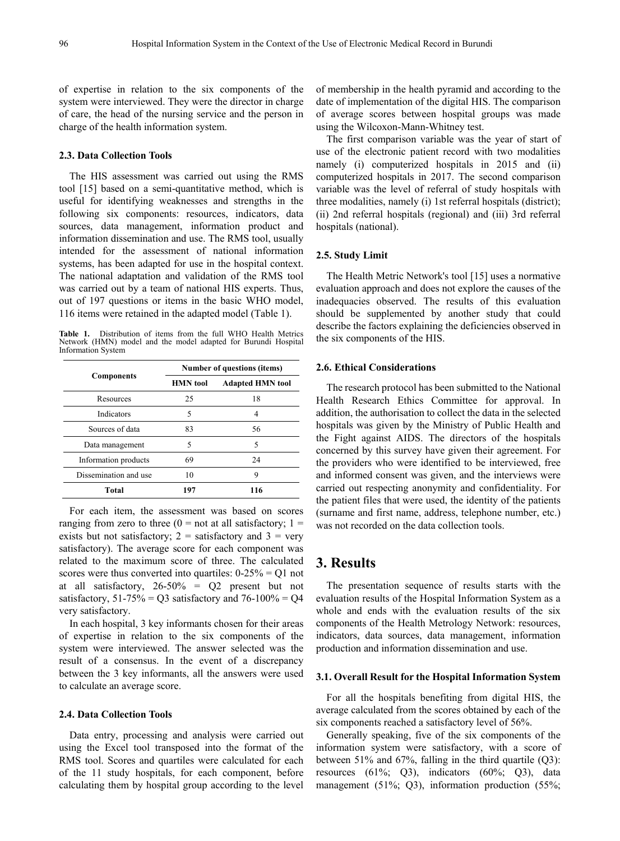of expertise in relation to the six components of the system were interviewed. They were the director in charge of care, the head of the nursing service and the person in charge of the health information system.

#### **2.3. Data Collection Tools**

The HIS assessment was carried out using the RMS tool [15] based on a semi-quantitative method, which is useful for identifying weaknesses and strengths in the following six components: resources, indicators, data sources, data management, information product and information dissemination and use. The RMS tool, usually intended for the assessment of national information systems, has been adapted for use in the hospital context. The national adaptation and validation of the RMS tool was carried out by a team of national HIS experts. Thus, out of 197 questions or items in the basic WHO model, 116 items were retained in the adapted model (Table 1).

**Table 1.** Distribution of items from the full WHO Health Metrics Network (HMN) model and the model adapted for Burundi Hospital Information System

|                       | Number of questions (items) |                         |  |  |
|-----------------------|-----------------------------|-------------------------|--|--|
| <b>Components</b>     | <b>HMN</b> tool             | <b>Adapted HMN tool</b> |  |  |
| Resources             | 25                          | 18                      |  |  |
| Indicators            | 5                           | 4                       |  |  |
| Sources of data       | 83                          | 56                      |  |  |
| Data management       | 5                           | 5                       |  |  |
| Information products  | 69                          | 24                      |  |  |
| Dissemination and use | 10                          | 9                       |  |  |
| Total                 | 197                         | 116                     |  |  |

For each item, the assessment was based on scores ranging from zero to three  $(0 = not at all satisfactory; 1 =$ exists but not satisfactory;  $2 =$  satisfactory and  $3 =$  very satisfactory). The average score for each component was related to the maximum score of three. The calculated scores were thus converted into quartiles:  $0-25\% = Q1$  not at all satisfactory, 26-50% = Q2 present but not satisfactory,  $51-75\% = Q3$  satisfactory and  $76-100\% = Q4$ very satisfactory.

In each hospital, 3 key informants chosen for their areas of expertise in relation to the six components of the system were interviewed. The answer selected was the result of a consensus. In the event of a discrepancy between the 3 key informants, all the answers were used to calculate an average score.

#### **2.4. Data Collection Tools**

Data entry, processing and analysis were carried out using the Excel tool transposed into the format of the RMS tool. Scores and quartiles were calculated for each of the 11 study hospitals, for each component, before calculating them by hospital group according to the level

of membership in the health pyramid and according to the date of implementation of the digital HIS. The comparison of average scores between hospital groups was made using the Wilcoxon-Mann-Whitney test.

The first comparison variable was the year of start of use of the electronic patient record with two modalities namely (i) computerized hospitals in 2015 and (ii) computerized hospitals in 2017. The second comparison variable was the level of referral of study hospitals with three modalities, namely (i) 1st referral hospitals (district); (ii) 2nd referral hospitals (regional) and (iii) 3rd referral hospitals (national).

## **2.5. Study Limit**

The Health Metric Network's tool [15] uses a normative evaluation approach and does not explore the causes of the inadequacies observed. The results of this evaluation should be supplemented by another study that could describe the factors explaining the deficiencies observed in the six components of the HIS.

#### **2.6. Ethical Considerations**

The research protocol has been submitted to the National Health Research Ethics Committee for approval. In addition, the authorisation to collect the data in the selected hospitals was given by the Ministry of Public Health and the Fight against AIDS. The directors of the hospitals concerned by this survey have given their agreement. For the providers who were identified to be interviewed, free and informed consent was given, and the interviews were carried out respecting anonymity and confidentiality. For the patient files that were used, the identity of the patients (surname and first name, address, telephone number, etc.) was not recorded on the data collection tools.

# **3. Results**

The presentation sequence of results starts with the evaluation results of the Hospital Information System as a whole and ends with the evaluation results of the six components of the Health Metrology Network: resources, indicators, data sources, data management, information production and information dissemination and use.

#### **3.1. Overall Result for the Hospital Information System**

For all the hospitals benefiting from digital HIS, the average calculated from the scores obtained by each of the six components reached a satisfactory level of 56%.

Generally speaking, five of the six components of the information system were satisfactory, with a score of between 51% and 67%, falling in the third quartile (Q3): resources (61%; Q3), indicators (60%; Q3), data management (51%; Q3), information production (55%;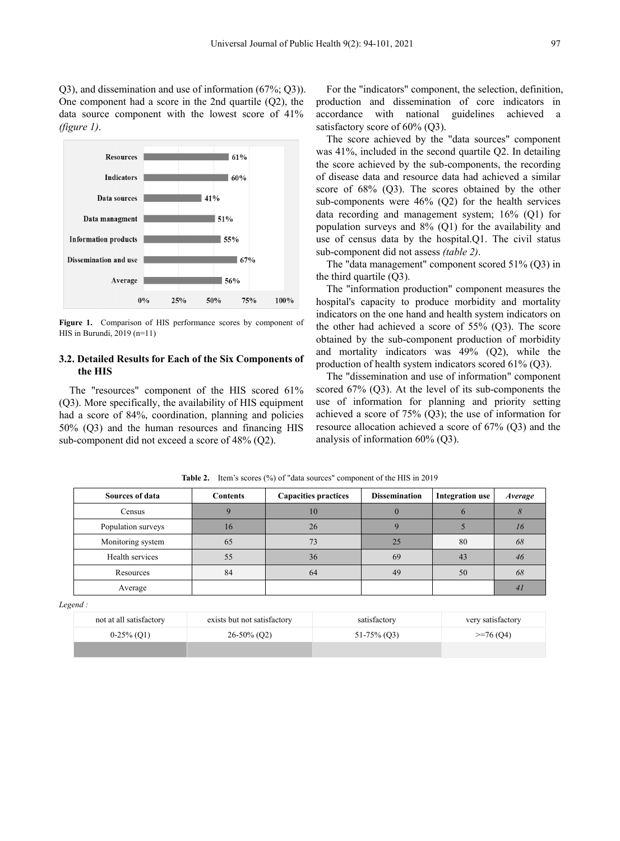Q3), and dissemination and use of information (67%; Q3)). One component had a score in the 2nd quartile (Q2), the data source component with the lowest score of 41% *(figure 1)*.



**Figure 1.** Comparison of HIS performance scores by component of HIS in Burundi, 2019 (n=11)

## **3.2. Detailed Results for Each of the Six Components of the HIS**

The "resources" component of the HIS scored 61% (Q3). More specifically, the availability of HIS equipment had a score of 84%, coordination, planning and policies 50% (Q3) and the human resources and financing HIS sub-component did not exceed a score of 48% (Q2).

For the "indicators" component, the selection, definition, production and dissemination of core indicators in accordance with national guidelines achieved a satisfactory score of 60% (Q3).

The score achieved by the "data sources" component was 41%, included in the second quartile Q2. In detailing the score achieved by the sub-components, the recording of disease data and resource data had achieved a similar score of 68% (Q3). The scores obtained by the other sub-components were 46% (Q2) for the health services data recording and management system; 16% (Q1) for population surveys and 8% (Q1) for the availability and use of census data by the hospital.Q1. The civil status sub-component did not assess *(table 2)*.

The "data management" component scored 51% (Q3) in the third quartile (Q3).

The "information production" component measures the hospital's capacity to produce morbidity and mortality indicators on the one hand and health system indicators on the other had achieved a score of 55% (Q3). The score obtained by the sub-component production of morbidity and mortality indicators was 49% (Q2), while the production of health system indicators scored 61% (Q3).

The "dissemination and use of information" component scored 67% (Q3). At the level of its sub-components the use of information for planning and priority setting achieved a score of 75% (Q3); the use of information for resource allocation achieved a score of 67% (Q3) and the analysis of information 60% (Q3).

**Table 2.** Item's scores (%) of "data sources" component of the HIS in 2019

| Sources of data    | <b>Contents</b> | <b>Capacities practices</b><br><b>Dissemination</b> |    | <b>Integration</b> use | Average |
|--------------------|-----------------|-----------------------------------------------------|----|------------------------|---------|
| Census             |                 | 10                                                  |    |                        |         |
| Population surveys | 16              | 26                                                  |    |                        |         |
| Monitoring system  | 65              | 73                                                  | 25 | 80                     | 68      |
| Health services    | 55              | 36                                                  | 69 | 43                     | 46      |
| Resources          | 84              | 64                                                  | 49 | 50                     | 68      |
| Average            |                 |                                                     |    |                        |         |

*Legend :*

| not at all satisfactory | exists but not satisfactory | satisfactory   | very satisfactory |
|-------------------------|-----------------------------|----------------|-------------------|
| $0-25\%$ (O1)           | $26-50\%$ (Q2)              | $51-75\%$ (Q3) | $>=76(04)$        |
|                         |                             |                |                   |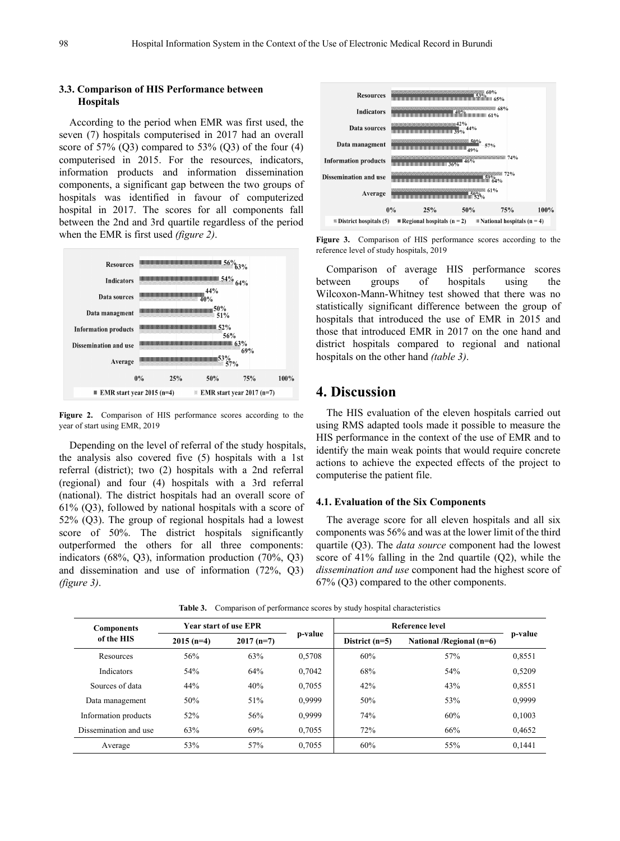## **3.3. Comparison of HIS Performance between Hospitals**

According to the period when EMR was first used, the seven (7) hospitals computerised in 2017 had an overall score of  $57\%$  (Q3) compared to  $53\%$  (Q3) of the four (4) computerised in 2015. For the resources, indicators, information products and information dissemination components, a significant gap between the two groups of hospitals was identified in favour of computerized hospital in 2017. The scores for all components fall between the 2nd and 3rd quartile regardless of the period when the EMR is first used *(figure 2)*.



**Figure 2.** Comparison of HIS performance scores according to the year of start using EMR, 2019

Depending on the level of referral of the study hospitals, the analysis also covered five (5) hospitals with a 1st referral (district); two (2) hospitals with a 2nd referral (regional) and four (4) hospitals with a 3rd referral (national). The district hospitals had an overall score of 61% (Q3), followed by national hospitals with a score of 52% (Q3). The group of regional hospitals had a lowest score of 50%. The district hospitals significantly outperformed the others for all three components: indicators (68%, Q3), information production (70%, Q3) and dissemination and use of information (72%, Q3) *(figure 3)*.



**Figure 3.** Comparison of HIS performance scores according to the reference level of study hospitals, 2019

Comparison of average HIS performance scores between groups of hospitals using the Wilcoxon-Mann-Whitney test showed that there was no statistically significant difference between the group of hospitals that introduced the use of EMR in 2015 and those that introduced EMR in 2017 on the one hand and district hospitals compared to regional and national hospitals on the other hand *(table 3)*.

# **4. Discussion**

The HIS evaluation of the eleven hospitals carried out using RMS adapted tools made it possible to measure the HIS performance in the context of the use of EMR and to identify the main weak points that would require concrete actions to achieve the expected effects of the project to computerise the patient file.

## **4.1. Evaluation of the Six Components**

The average score for all eleven hospitals and all six components was 56% and was at the lower limit of the third quartile (Q3). The *data source* component had the lowest score of 41% falling in the 2nd quartile (Q2), while the *dissemination and use* component had the highest score of 67% (Q3) compared to the other components.

| <b>Components</b><br>of the HIS | Year start of use EPR |             |         | Reference level  |                          |         |
|---------------------------------|-----------------------|-------------|---------|------------------|--------------------------|---------|
|                                 | $2015(n=4)$           | $2017(n=7)$ | p-value | District $(n=5)$ | National /Regional (n=6) | p-value |
| Resources                       | 56%                   | 63%         | 0.5708  | 60%              | 57%                      | 0,8551  |
| <b>Indicators</b>               | 54%                   | 64%         | 0.7042  | 68%              | 54%                      | 0,5209  |
| Sources of data                 | 44%                   | 40%         | 0.7055  | 42%              | 43%                      | 0,8551  |
| Data management                 | 50%                   | 51%         | 0.9999  | 50%              | 53%                      | 0,9999  |
| Information products            | 52%                   | 56%         | 0,9999  | 74%              | 60%                      | 0,1003  |
| Dissemination and use           | 63%                   | 69%         | 0.7055  | 72%              | 66%                      | 0,4652  |
| Average                         | 53%                   | 57%         | 0.7055  | 60%              | 55%                      | 0.1441  |

**Table 3.** Comparison of performance scores by study hospital characteristics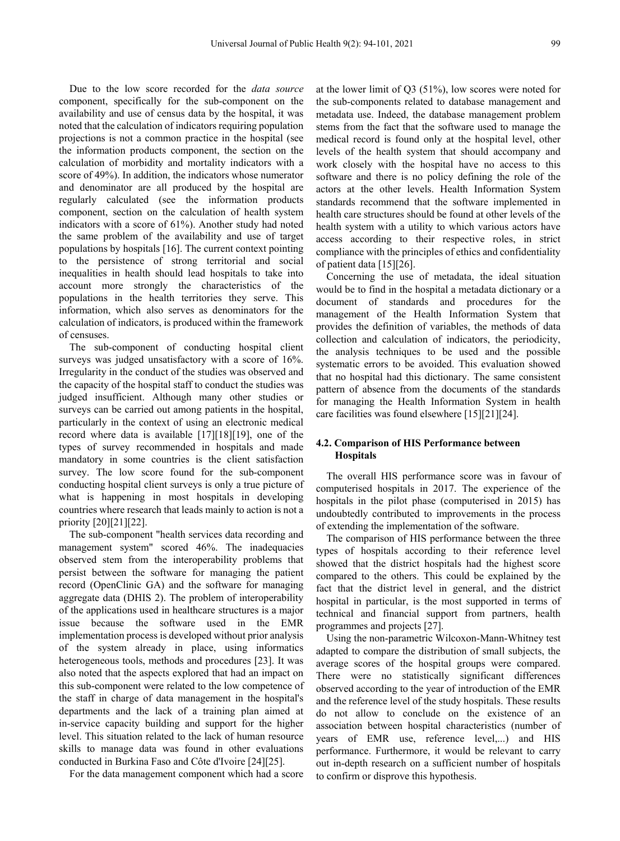Due to the low score recorded for the *data source* component, specifically for the sub-component on the availability and use of census data by the hospital, it was noted that the calculation of indicators requiring population projections is not a common practice in the hospital (see the information products component, the section on the calculation of morbidity and mortality indicators with a score of 49%). In addition, the indicators whose numerator and denominator are all produced by the hospital are regularly calculated (see the information products component, section on the calculation of health system indicators with a score of 61%). Another study had noted the same problem of the availability and use of target populations by hospitals [16]. The current context pointing to the persistence of strong territorial and social inequalities in health should lead hospitals to take into account more strongly the characteristics of the populations in the health territories they serve. This information, which also serves as denominators for the calculation of indicators, is produced within the framework of censuses.

The sub-component of conducting hospital client surveys was judged unsatisfactory with a score of 16%. Irregularity in the conduct of the studies was observed and the capacity of the hospital staff to conduct the studies was judged insufficient. Although many other studies or surveys can be carried out among patients in the hospital, particularly in the context of using an electronic medical record where data is available [17][18][19], one of the types of survey recommended in hospitals and made mandatory in some countries is the client satisfaction survey. The low score found for the sub-component conducting hospital client surveys is only a true picture of what is happening in most hospitals in developing countries where research that leads mainly to action is not a priority [20][21][22].

The sub-component "health services data recording and management system" scored 46%. The inadequacies observed stem from the interoperability problems that persist between the software for managing the patient record (OpenClinic GA) and the software for managing aggregate data (DHIS 2). The problem of interoperability of the applications used in healthcare structures is a major issue because the software used in the EMR implementation process is developed without prior analysis of the system already in place, using informatics heterogeneous tools, methods and procedures [23]. It was also noted that the aspects explored that had an impact on this sub-component were related to the low competence of the staff in charge of data management in the hospital's departments and the lack of a training plan aimed at in-service capacity building and support for the higher level. This situation related to the lack of human resource skills to manage data was found in other evaluations conducted in Burkina Faso and Côte d'Ivoire [24][25].

For the data management component which had a score

at the lower limit of Q3 (51%), low scores were noted for the sub-components related to database management and metadata use. Indeed, the database management problem stems from the fact that the software used to manage the medical record is found only at the hospital level, other levels of the health system that should accompany and work closely with the hospital have no access to this software and there is no policy defining the role of the actors at the other levels. Health Information System standards recommend that the software implemented in health care structures should be found at other levels of the health system with a utility to which various actors have access according to their respective roles, in strict compliance with the principles of ethics and confidentiality of patient data [15][26].

Concerning the use of metadata, the ideal situation would be to find in the hospital a metadata dictionary or a document of standards and procedures for the management of the Health Information System that provides the definition of variables, the methods of data collection and calculation of indicators, the periodicity, the analysis techniques to be used and the possible systematic errors to be avoided. This evaluation showed that no hospital had this dictionary. The same consistent pattern of absence from the documents of the standards for managing the Health Information System in health care facilities was found elsewhere [15][21][24].

## **4.2. Comparison of HIS Performance between Hospitals**

The overall HIS performance score was in favour of computerised hospitals in 2017. The experience of the hospitals in the pilot phase (computerised in 2015) has undoubtedly contributed to improvements in the process of extending the implementation of the software.

The comparison of HIS performance between the three types of hospitals according to their reference level showed that the district hospitals had the highest score compared to the others. This could be explained by the fact that the district level in general, and the district hospital in particular, is the most supported in terms of technical and financial support from partners, health programmes and projects [27].

Using the non-parametric Wilcoxon-Mann-Whitney test adapted to compare the distribution of small subjects, the average scores of the hospital groups were compared. There were no statistically significant differences observed according to the year of introduction of the EMR and the reference level of the study hospitals. These results do not allow to conclude on the existence of an association between hospital characteristics (number of years of EMR use, reference level,...) and HIS performance. Furthermore, it would be relevant to carry out in-depth research on a sufficient number of hospitals to confirm or disprove this hypothesis.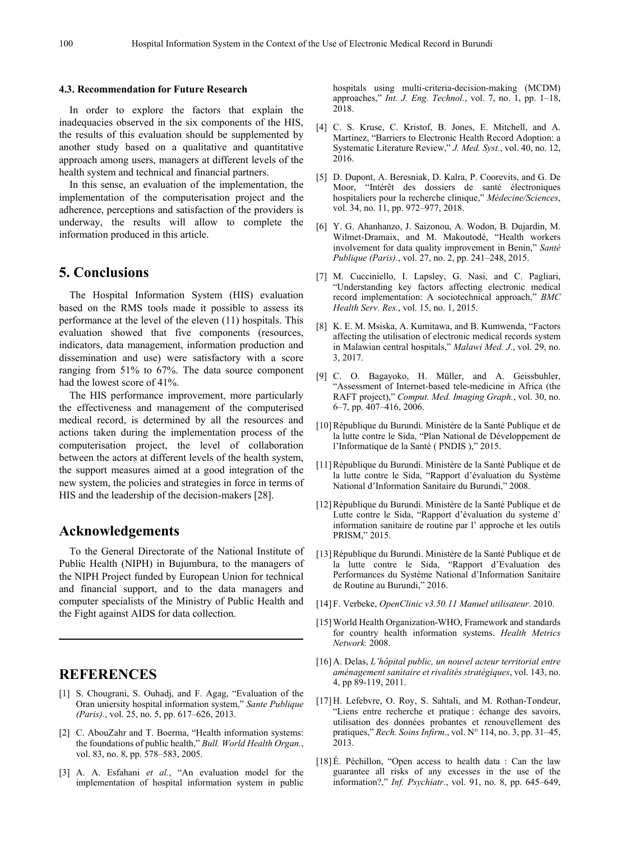#### **4.3. Recommendation for Future Research**

In order to explore the factors that explain the inadequacies observed in the six components of the HIS, the results of this evaluation should be supplemented by another study based on a qualitative and quantitative approach among users, managers at different levels of the health system and technical and financial partners.

In this sense, an evaluation of the implementation, the implementation of the computerisation project and the adherence, perceptions and satisfaction of the providers is underway, the results will allow to complete the information produced in this article.

# **5. Conclusions**

The Hospital Information System (HIS) evaluation based on the RMS tools made it possible to assess its performance at the level of the eleven (11) hospitals. This evaluation showed that five components (resources, indicators, data management, information production and dissemination and use) were satisfactory with a score ranging from 51% to 67%. The data source component had the lowest score of 41%.

The HIS performance improvement, more particularly the effectiveness and management of the computerised medical record, is determined by all the resources and actions taken during the implementation process of the computerisation project, the level of collaboration between the actors at different levels of the health system, the support measures aimed at a good integration of the new system, the policies and strategies in force in terms of HIS and the leadership of the decision-makers [28].

# **Acknowledgements**

To the General Directorate of the National Institute of Public Health (NIPH) in Bujumbura, to the managers of the NIPH Project funded by European Union for technical and financial support, and to the data managers and computer specialists of the Ministry of Public Health and the Fight against AIDS for data collection.

# **REFERENCES**

- [1] S. Chougrani, S. Ouhadj, and F. Agag, "Evaluation of the Oran uniersity hospital information system," *Sante Publique (Paris).*, vol. 25, no. 5, pp. 617–626, 2013.
- [2] C. AbouZahr and T. Boerma, "Health information systems: the foundations of public health," *Bull. World Health Organ.*, vol. 83, no. 8, pp. 578–583, 2005.
- [3] A. A. Esfahani *et al.*, "An evaluation model for the implementation of hospital information system in public

hospitals using multi-criteria-decision-making (MCDM) approaches," *Int. J. Eng. Technol.*, vol. 7, no. 1, pp. 1–18, 2018.

- [4] C. S. Kruse, C. Kristof, B. Jones, E. Mitchell, and A. Martinez, "Barriers to Electronic Health Record Adoption: a Systematic Literature Review," *J. Med. Syst.*, vol. 40, no. 12, 2016.
- [5] D. Dupont, A. Beresniak, D. Kalra, P. Coorevits, and G. De Moor, "Intérêt des dossiers de santé électroniques hospitaliers pour la recherche clinique," *Médecine/Sciences*, vol. 34, no. 11, pp. 972–977, 2018.
- [6] Y. G. Ahanhanzo, J. Saizonou, A. Wodon, B. Dujardin, M. Wilmet-Dramaix, and M. Makoutodé, "Health workers involvement for data quality improvement in Benin," *Santé Publique (Paris).*, vol. 27, no. 2, pp. 241–248, 2015.
- [7] M. Cucciniello, I. Lapsley, G. Nasi, and C. Pagliari, "Understanding key factors affecting electronic medical record implementation: A sociotechnical approach," *BMC Health Serv. Res.*, vol. 15, no. 1, 2015.
- [8] K. E. M. Msiska, A. Kumitawa, and B. Kumwenda, "Factors affecting the utilisation of electronic medical records system in Malawian central hospitals," *Malawi Med. J.*, vol. 29, no. 3, 2017.
- [9] C. O. Bagayoko, H. Müller, and A. Geissbuhler, "Assessment of Internet-based tele-medicine in Africa (the RAFT project)," *Comput. Med. Imaging Graph.*, vol. 30, no. 6–7, pp. 407–416, 2006.
- [10]République du Burundi. Ministère de la Santé Publique et de la lutte contre le Sida, "Plan National de Développement de l'Informatique de la Santé ( PNDIS )," 2015.
- [11]République du Burundi. Ministère de la Santé Publique et de la lutte contre le Sida, "Rapport d'évaluation du Système National d'Information Sanitaire du Burundi," 2008.
- [12]République du Burundi. Ministère de la Santé Publique et de Lutte contre le Sida, "Rapport d'évaluation du systeme d' information sanitaire de routine par l' approche et les outils PRISM," 2015.
- [13]République du Burundi. Ministère de la Santé Publique et de la lutte contre le Sida, "Rapport d'Evaluation des Performances du Système National d'Information Sanitaire de Routine au Burundi," 2016.
- [14] F. Verbeke, *OpenClinic v3.50.11 Manuel utilisateur*. 2010.
- [15] World Health Organization-WHO, Framework and standards for country health information systems. *Health Metrics Network.* 2008.
- [16] A. Delas, *L'hôpital public, un nouvel acteur territorial entre aménagement sanitaire et rivalités stratégiques*, vol. 143, no. 4, pp 89-119, 2011.
- [17] H. Lefebvre, O. Roy, S. Sahtali, and M. Rothan-Tondeur, "Liens entre recherche et pratique : échange des savoirs, utilisation des données probantes et renouvellement des pratiques," *Rech. Soins Infirm.*, vol. N° 114, no. 3, pp. 31–45, 2013.
- [18]É. Péchillon, "Open access to health data : Can the law guarantee all risks of any excesses in the use of the information?," *Inf. Psychiatr.*, vol. 91, no. 8, pp. 645–649,